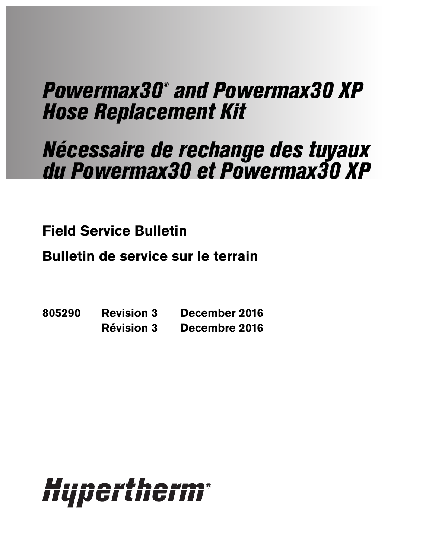# Powermax30® and Powermax30 XP Hose Replacement Kit

# Nécessaire de rechange des tuyaux du Powermax30 et Powermax30 XP

**Field Service Bulletin**

**Bulletin de service sur le terrain**

**805290 Revision 3 December 2016 Révision 3 Decembre 2016**

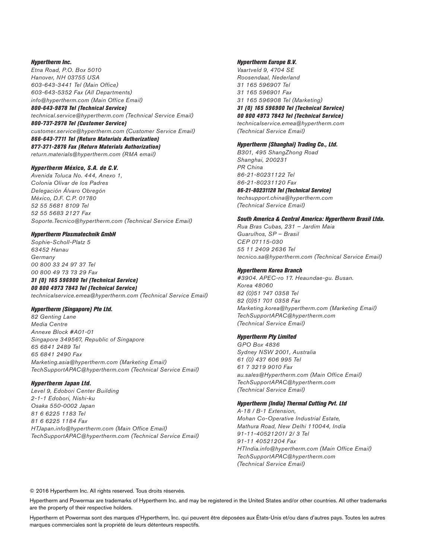#### Hypertherm Inc.

Etna Road, P.O. Box 5010 Hanover, NH 03755 USA 603-643-3441 Tel (Main Office) 603-643-5352 Fax (All Departments) info@hypertherm.com (Main Office Email) 800-643-9878 Tel (Technical Service) technical.service@hypertherm.com (Technical Service Email)

800-737-2978 Tel (Customer Service) customer.service@hypertherm.com (Customer Service Email) 866-643-7711 Tel (Return Materials Authorization) 877-371-2876 Fax (Return Materials Authorization) return.materials@hypertherm.com (RMA email)

#### Hypertherm México, S.A. de C.V.

Avenida Toluca No. 444, Anexo 1, Colonia Olivar de los Padres Delegación Álvaro Obregón México, D.F. C.P. 01780 52 55 5681 8109 Tel 52 55 5683 2127 Fax Soporte.Tecnico@hypertherm.com (Technical Service Email)

#### Hypertherm Plasmatechnik GmbH

Sophie-Scholl-Platz 5 63452 Hanau **Germany** 00 800 33 24 97 37 Tel 00 800 49 73 73 29 Fax

#### 31 (0) 165 596900 Tel (Technical Service) 00 800 4973 7843 Tel (Technical Service)

technicalservice.emea@hypertherm.com (Technical Service Email)

#### Hypertherm (Singapore) Pte Ltd.

82 Genting Lane Media Centre Annexe Block #A01-01 Singapore 349567, Republic of Singapore 65 6841 2489 Tel 65 6841 2490 Fax Marketing.asia@hypertherm.com (Marketing Email) TechSupportAPAC@hypertherm.com (Technical Service Email)

#### Hypertherm Japan Ltd.

Level 9, Edobori Center Building 2-1-1 Edobori, Nishi-ku Osaka 550-0002 Japan 81 6 6225 1183 Tel 81 6 6225 1184 Fax HTJapan.info@hypertherm.com (Main Office Email) TechSupportAPAC@hypertherm.com (Technical Service Email)

#### Hypertherm Europe B.V.

Vaartveld 9, 4704 SE Roosendaal, Nederland 31 165 596907 Tel 31 165 596901 Fax 31 165 596908 Tel (Marketing) 31 (0) 165 596900 Tel (Technical Service) 00 800 4973 7843 Tel (Technical Service) technicalservice.emea@hypertherm.com

(Technical Service Email)

#### Hypertherm (Shanghai) Trading Co., Ltd.

B301, 495 ShangZhong Road Shanghai, 200231 PR China 86-21-80231122 Tel 86-21-80231120 Fax 86-21-80231128 Tel (Technical Service) techsupport.china@hypertherm.com

#### South America & Central America: Hypertherm Brasil Ltda.

Rua Bras Cubas, 231 – Jardim Maia Guarulhos, SP – Brasil CEP 07115-030 55 11 2409 2636 Tel tecnico.sa@hypertherm.com (Technical Service Email)

#### Hypertherm Korea Branch

(Technical Service Email)

#3904. APEC-ro 17. Heaundae-gu. Busan. Korea 48060 82 (0)51 747 0358 Tel 82 (0)51 701 0358 Fax Marketing.korea@hypertherm.com (Marketing Email) TechSupportAPAC@hypertherm.com (Technical Service Email)

#### Hypertherm Pty Limited

GPO Box 4836 Sydney NSW 2001, Australia 61 (0) 437 606 995 Tel 61 7 3219 9010 Fax au.sales@Hypertherm.com (Main Office Email) TechSupportAPAC@hypertherm.com (Technical Service Email)

#### Hypertherm (India) Thermal Cutting Pvt. Ltd

A-18 / B-1 Extension, Mohan Co-Operative Industrial Estate, Mathura Road, New Delhi 110044, India 91-11-40521201/ 2/ 3 Tel 91-11 40521204 Fax HTIndia.info@hypertherm.com (Main Office Email) TechSupportAPAC@hypertherm.com (Technical Service Email)

© 2016 Hypertherm Inc. All rights reserved. Tous droits réservés.

Hypertherm and Powermax are trademarks of Hypertherm Inc. and may be registered in the United States and/or other countries. All other trademarks are the property of their respective holders.

Hypertherm et Powermax sont des marques d'Hypertherm, Inc. qui peuvent être déposées aux États-Unis et/ou dans d'autres pays. Toutes les autres marques commerciales sont la propriété de leurs détenteurs respectifs.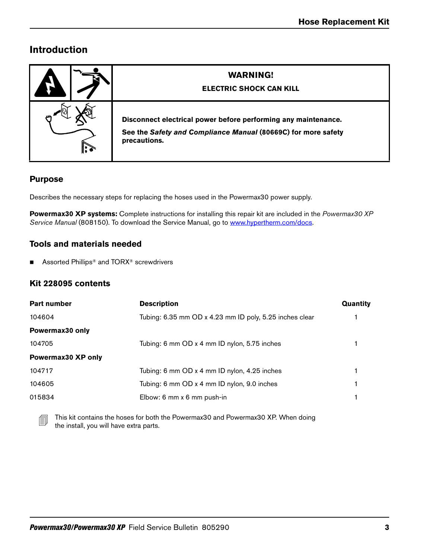# **Introduction**

|              | <b>WARNING!</b><br><b>ELECTRIC SHOCK CAN KILL</b>                                                                                               |
|--------------|-------------------------------------------------------------------------------------------------------------------------------------------------|
| $\mathbf{r}$ | Disconnect electrical power before performing any maintenance.<br>See the Safety and Compliance Manual (80669C) for more safety<br>precautions. |

## **Purpose**

Describes the necessary steps for replacing the hoses used in the Powermax30 power supply.

**Powermax30 XP systems:** Complete instructions for installing this repair kit are included in the Powermax30 XP Service Manual (808150). To download the Service Manual, go to [www.hypertherm.com/docs.](https://www.hypertherm.com/docs)

## **Tools and materials needed**

■ Assorted Phillips<sup>®</sup> and TORX<sup>®</sup> screwdrivers

## **Kit 228095 contents**

| Part number        | <b>Description</b>                                      | Quantity |
|--------------------|---------------------------------------------------------|----------|
| 104604             | Tubing: 6.35 mm OD x 4.23 mm ID poly, 5.25 inches clear |          |
| Powermax30 only    |                                                         |          |
| 104705             | Tubing: 6 mm OD x 4 mm ID nylon, 5.75 inches            |          |
| Powermax30 XP only |                                                         |          |
| 104717             | Tubing: 6 mm OD x 4 mm ID nylon, 4.25 inches            |          |
| 104605             | Tubing: 6 mm OD x 4 mm ID nylon, 9.0 inches             |          |
| 015834             | Elbow: 6 mm x 6 mm push-in                              |          |

This kit contains the hoses for both the Powermax30 and Powermax30 XP. When doing the install, you will have extra parts.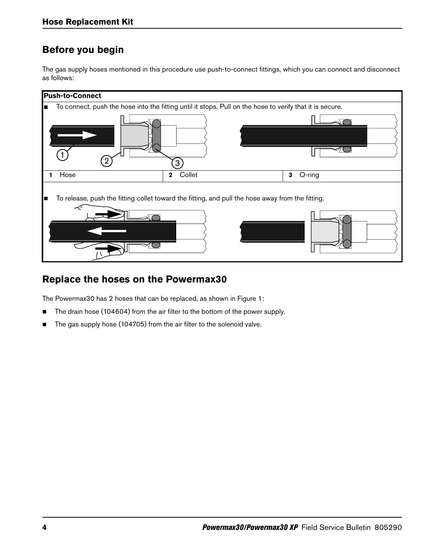# **Before you begin**

The gas supply hoses mentioned in this procedure use push-to-connect fittings, which you can connect and disconnect as follows:



## **Replace the hoses on the Powermax30**

The Powermax30 has 2 hoses that can be replaced, as shown in [Figure 1:](#page-4-0)

- The drain hose (104604) from the air filter to the bottom of the power supply.
- The gas supply hose (104705) from the air filter to the solenoid valve.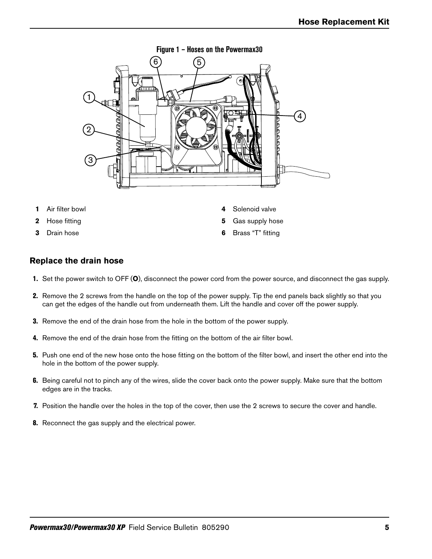<span id="page-4-0"></span>

- **1** Air filter bowl
- **2** Hose fitting
- **3** Drain hose

**6** Brass "T" fitting

**4** Solenoid valve **5** Gas supply hose

### **Replace the drain hose**

- 1. Set the power switch to OFF (**O**), disconnect the power cord from the power source, and disconnect the gas supply.
- 2. Remove the 2 screws from the handle on the top of the power supply. Tip the end panels back slightly so that you can get the edges of the handle out from underneath them. Lift the handle and cover off the power supply.
- 3. Remove the end of the drain hose from the hole in the bottom of the power supply.
- 4. Remove the end of the drain hose from the fitting on the bottom of the air filter bowl.
- 5. Push one end of the new hose onto the hose fitting on the bottom of the filter bowl, and insert the other end into the hole in the bottom of the power supply.
- **6.** Being careful not to pinch any of the wires, slide the cover back onto the power supply. Make sure that the bottom edges are in the tracks.
- 7. Position the handle over the holes in the top of the cover, then use the 2 screws to secure the cover and handle.
- 8. Reconnect the gas supply and the electrical power.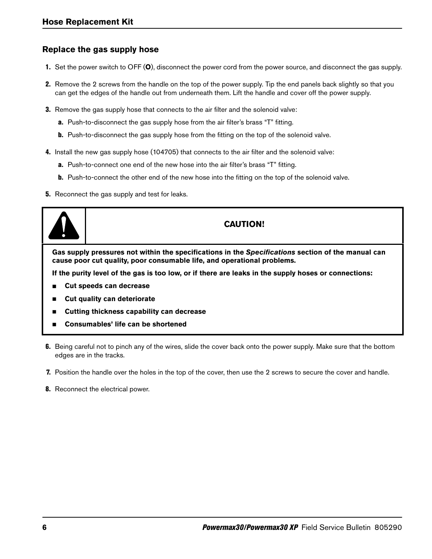## **Replace the gas supply hose**

- 1. Set the power switch to OFF (**O**), disconnect the power cord from the power source, and disconnect the gas supply.
- 2. Remove the 2 screws from the handle on the top of the power supply. Tip the end panels back slightly so that you can get the edges of the handle out from underneath them. Lift the handle and cover off the power supply.
- **3.** Remove the gas supply hose that connects to the air filter and the solenoid valve:
	- a. Push-to-disconnect the gas supply hose from the air filter's brass "T" fitting.
	- **b.** Push-to-disconnect the gas supply hose from the fitting on the top of the solenoid valve.
- 4. Install the new gas supply hose (104705) that connects to the air filter and the solenoid valve:
	- a. Push-to-connect one end of the new hose into the air filter's brass "T" fitting.
	- **b.** Push-to-connect the other end of the new hose into the fitting on the top of the solenoid valve.
- **5.** Reconnect the gas supply and test for leaks.



## **CAUTION!**

**Gas supply pressures not within the specifications in the Specifications section of the manual can cause poor cut quality, poor consumable life, and operational problems.**

**If the purity level of the gas is too low, or if there are leaks in the supply hoses or connections:**

- **Cut speeds can decrease**
- **Cut quality can deteriorate**
- **Cutting thickness capability can decrease**
- **Consumables' life can be shortened**
- **6.** Being careful not to pinch any of the wires, slide the cover back onto the power supply. Make sure that the bottom edges are in the tracks.
- 7. Position the handle over the holes in the top of the cover, then use the 2 screws to secure the cover and handle.
- 8. Reconnect the electrical power.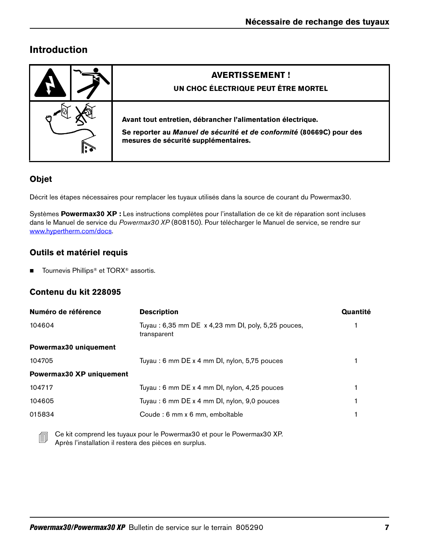# **Introduction**

| <b>AVERTISSEMENT!</b><br>UN CHOC ÉLECTRIQUE PEUT ÊTRE MORTEL                                                                                                                |
|-----------------------------------------------------------------------------------------------------------------------------------------------------------------------------|
| Avant tout entretien, débrancher l'alimentation électrique.<br>Se reporter au Manuel de sécurité et de conformité (80669C) pour des<br>mesures de sécurité supplémentaires. |

## **Objet**

Décrit les étapes nécessaires pour remplacer les tuyaux utilisés dans la source de courant du Powermax30.

Systèmes **Powermax30 XP :** Les instructions complètes pour l'installation de ce kit de réparation sont incluses dans le Manuel de service du Powermax30 XP (808150). Pour télécharger le Manuel de service, se rendre sur [www.hypertherm.com/docs](https://www.hypertherm.com/docs).

## **Outils et matériel requis**

■ Tournevis Phillips<sup>®</sup> et TORX<sup>®</sup> assortis.

## **Contenu du kit 228095**

| Numéro de référence      | <b>Description</b>                                                | Quantité |
|--------------------------|-------------------------------------------------------------------|----------|
| 104604                   | Tuyau: 6,35 mm DE x 4,23 mm DI, poly, 5,25 pouces,<br>transparent |          |
| Powermax30 uniquement    |                                                                   |          |
| 104705                   | Tuyau: 6 mm DE x 4 mm DI, nylon, 5,75 pouces                      |          |
| Powermax30 XP uniquement |                                                                   |          |
| 104717                   | Tuyau: 6 mm DE x 4 mm DI, nylon, 4,25 pouces                      |          |
| 104605                   | Tuyau: 6 mm DE x 4 mm DI, nylon, 9,0 pouces                       |          |
| 015834                   | Coude : 6 mm x 6 mm, emboîtable                                   |          |
|                          |                                                                   |          |

 Ce kit comprend les tuyaux pour le Powermax30 et pour le Powermax30 XP. Après l'installation il restera des pièces en surplus.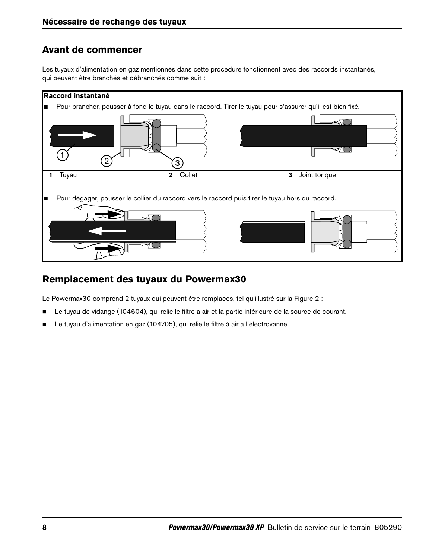## **Avant de commencer**

Les tuyaux d'alimentation en gaz mentionnés dans cette procédure fonctionnent avec des raccords instantanés, qui peuvent être branchés et débranchés comme suit :



# **Remplacement des tuyaux du Powermax30**

Le Powermax30 comprend 2 tuyaux qui peuvent être remplacés, tel qu'illustré sur la [Figure 2](#page-8-0) :

- Le tuyau de vidange (104604), qui relie le filtre à air et la partie inférieure de la source de courant.
- Le tuyau d'alimentation en gaz (104705), qui relie le filtre à air à l'électrovanne.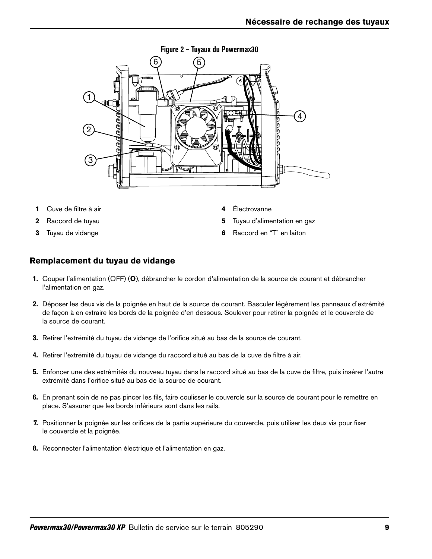<span id="page-8-0"></span>

- **1** Cuve de filtre à air
- **2** Raccord de tuyau
- **3** Tuyau de vidange
- **4** Électrovanne
- **5** Tuyau d'alimentation en gaz
- **6** Raccord en "T" en laiton

### **Remplacement du tuyau de vidange**

- 1. Couper l'alimentation (OFF) (**O**), débrancher le cordon d'alimentation de la source de courant et débrancher l'alimentation en gaz.
- 2. Déposer les deux vis de la poignée en haut de la source de courant. Basculer légèrement les panneaux d'extrémité de façon à en extraire les bords de la poignée d'en dessous. Soulever pour retirer la poignée et le couvercle de la source de courant.
- 3. Retirer l'extrémité du tuyau de vidange de l'orifice situé au bas de la source de courant.
- 4. Retirer l'extrémité du tuyau de vidange du raccord situé au bas de la cuve de filtre à air.
- 5. Enfoncer une des extrémités du nouveau tuyau dans le raccord situé au bas de la cuve de filtre, puis insérer l'autre extrémité dans l'orifice situé au bas de la source de courant.
- 6. En prenant soin de ne pas pincer les fils, faire coulisser le couvercle sur la source de courant pour le remettre en place. S'assurer que les bords inférieurs sont dans les rails.
- 7. Positionner la poignée sur les orifices de la partie supérieure du couvercle, puis utiliser les deux vis pour fixer le couvercle et la poignée.
- 8. Reconnecter l'alimentation électrique et l'alimentation en gaz.